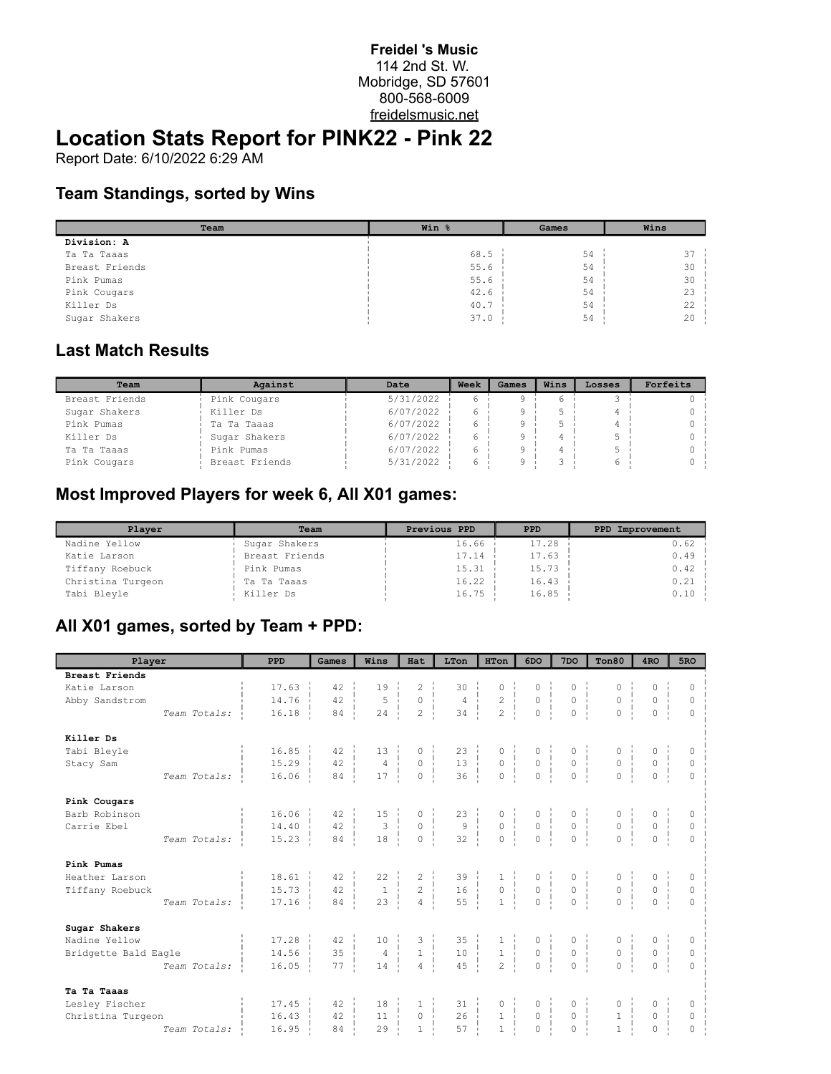#### **Freidel 's Music** 114 2nd St. W. Mobridge, SD 57601 800-568-6009 freidelsmusic.net

# **Location Stats Report for PINK22 - Pink 22**

Report Date: 6/10/2022 6:29 AM

#### **Team Standings, sorted by Wins**

| Team           | Win % | Games | Wins   |
|----------------|-------|-------|--------|
| Division: A    |       |       |        |
| Ta Ta Taaas    | 68.5  | 54    | 37     |
| Breast Friends | 55.6  | 54    | 30     |
| Pink Pumas     | 55.6  | 54    | $30 -$ |
| Pink Cougars   | 42.6  | 54    | $23 -$ |
| Killer Ds      | 40.7  | 54    | 22     |
| Sugar Shakers  | 37.0  | 54    | $20 -$ |

#### **Last Match Results**

| Team           | Against        | Date      | Week | Games | Wins | Losses | Forfeits |
|----------------|----------------|-----------|------|-------|------|--------|----------|
| Breast Friends | Pink Cougars   | 5/31/2022 |      |       |      |        |          |
| Sugar Shakers  | Killer Ds      | 6/07/2022 | 6    |       |      |        |          |
| Pink Pumas     | Ta Ta Taaas    | 6/07/2022 |      |       |      |        |          |
| Killer Ds      | Sugar Shakers  | 6/07/2022 |      |       |      |        |          |
| Ta Ta Taaas    | Pink Pumas     | 6/07/2022 |      |       |      |        |          |
| Pink Cougars   | Breast Friends | 5/31/2022 |      |       |      |        |          |

### **Most Improved Players for week 6, All X01 games:**

| Player            | Team           | Previous PPD | PPD   | PPD Improvement |
|-------------------|----------------|--------------|-------|-----------------|
| Nadine Yellow     | Sugar Shakers  | 16.66        | 17.28 | 0.62            |
| Katie Larson      | Breast Friends | 17.14        | 17.63 | 0.49            |
| Tiffany Roebuck   | Pink Pumas     | 15.31        | 15.73 | 0.42            |
| Christina Turgeon | Ta Ta Taaas    | 16.22        | 16.43 | 0.21            |
| Tabi Bleyle       | Killer Ds      | 16.75        | 16.85 | 0.10            |

### **All X01 games, sorted by Team + PPD:**

| Player                |              | <b>PPD</b>            | Games              | Wins                | Hat                                              | LTon                                                | HTon                                                                  | 6DO                                                                  | 7 <sub>DO</sub>                                        | Ton80                                                                              | 4 <sub>RO</sub>                                      | 5 <sub>RO</sub> |
|-----------------------|--------------|-----------------------|--------------------|---------------------|--------------------------------------------------|-----------------------------------------------------|-----------------------------------------------------------------------|----------------------------------------------------------------------|--------------------------------------------------------|------------------------------------------------------------------------------------|------------------------------------------------------|-----------------|
| <b>Breast Friends</b> |              |                       |                    |                     |                                                  |                                                     |                                                                       |                                                                      |                                                        |                                                                                    |                                                      |                 |
| Katie Larson          |              | 17.63                 | 42                 | 19                  | $\overline{c}$                                   | 30                                                  | $\circ$                                                               | 0                                                                    | $\circ$                                                | 0                                                                                  | $\circ$                                              | 0               |
| Abby Sandstrom        |              | 14.76                 | 42                 | 5<br>$\frac{1}{2}$  | $\circ$<br>$\frac{1}{2}$                         | $\frac{4}{34}$                                      | $\begin{array}{c} 2 \ \ \frac{1}{2} \ \ \frac{1}{2} \end{array}$<br>Ť | $\begin{matrix} 0 \\ 0 \\ 0 \end{matrix}$                            | $\circ$                                                | $\circ$                                                                            | $\overline{0}$                                       | 0               |
|                       | Team Totals: | 16.18                 | 84                 | 24                  | $\overline{c}$                                   |                                                     |                                                                       |                                                                      | $\overline{0}$                                         | 0 <sup>1</sup>                                                                     | 0 <sup>1</sup>                                       | $\Omega$        |
| Killer Ds             |              |                       |                    |                     |                                                  |                                                     |                                                                       |                                                                      |                                                        |                                                                                    |                                                      |                 |
| Tabi Bleyle           |              | 16.85                 | $42 - 1$           | $13 -$              | 0                                                | 23:                                                 |                                                                       |                                                                      | 0                                                      |                                                                                    |                                                      | 0               |
| Stacy Sam             |              | $15.29$ $\frac{1}{2}$ | 42                 | $\overline{4}$<br>÷ | $\circ$<br>ŧ                                     | $\begin{array}{c c}\n13 & 1 \\ 36 & 1\n\end{array}$ | $\begin{matrix} 0 & 1 \\ 0 & 1 \\ 0 & 1 \end{matrix}$                 | $\begin{matrix} 0 & \vdots \\ 0 & \vdots \\ 0 & \vdots \end{matrix}$ | $\overline{0}$                                         | $\begin{matrix} 0 &   &   \\ 0 &   &   \\ 0 &   &   \end{matrix}$<br>$\frac{1}{1}$ | $\begin{array}{c} 0 \\ 0 \\ 0 \end{array}$           | $\circ$         |
|                       | Team Totals: | 16.06                 | $84 -$             | 17                  | ÷<br>$\circ$                                     |                                                     |                                                                       |                                                                      | $\mathbf{0}$                                           |                                                                                    |                                                      | $\circ$         |
| Pink Cougars          |              |                       |                    |                     |                                                  |                                                     |                                                                       |                                                                      |                                                        |                                                                                    |                                                      |                 |
| Barb Robinson         |              | 16.06                 | 42                 | 15                  | 0                                                | $23 - i$                                            | $\begin{matrix} 0 & \vdots \\ 0 & \vdots \end{matrix}$                | $\begin{matrix} 0 \\ 0 \end{matrix}$                                 | $\begin{matrix} 0 \\ 0 \end{matrix}$                   |                                                                                    |                                                      | 0               |
| Carrie Ebel           |              | 14.40                 | 42                 | $\mathbf{3}$        | $\frac{1}{1}$<br>$\overline{0}$<br>41            | 9<br>-1                                             |                                                                       | $\frac{1}{1}$                                                        |                                                        | $\begin{matrix} 0 & \vdots \\ 0 & \vdots \\ \vdots & \vdots \end{matrix}$          | $\overline{0}$                                       | $\circ$         |
|                       | Team Totals: | 15.23                 | $84 - 1$           | 18                  | $\Omega$                                         | 32                                                  | $\begin{matrix}0\\0\\1\end{matrix}$                                   | $\Omega$                                                             | $\Omega$                                               | 0 <sup>1</sup>                                                                     | $0-1$                                                | $\theta$        |
| Pink Pumas            |              |                       |                    |                     |                                                  |                                                     |                                                                       |                                                                      |                                                        |                                                                                    |                                                      |                 |
| Heather Larson        |              | 18.61                 | $42 -$             | 22                  | $\overline{\mathbf{c}}$                          | $\begin{array}{c c} 39 &   \\ 16 &   \end{array}$   |                                                                       | $\begin{matrix} 0 \\ 0 \end{matrix}$                                 | $\begin{matrix} 0 \\ 0 \end{matrix}$                   |                                                                                    | $\begin{matrix} 0 \\ 0 \end{matrix}$                 | 0               |
| Tiffany Roebuck       |              | 15.73                 | 42<br>$\mathbf{L}$ | $\mathbf{1}$        | $\overline{2}$<br>$\frac{1}{4}$<br>$\frac{1}{2}$ | -1                                                  | $\begin{array}{c} 1\\0\\1 \end{array}$                                |                                                                      |                                                        | $\begin{matrix} 0 & \vdots \\ 0 & \vdots \end{matrix}$                             |                                                      | $\circ$         |
|                       | Team Totals: | 17.16                 | 84                 | 23                  | $\overline{4}$                                   | 55                                                  |                                                                       | $\overline{O}$                                                       | $\theta$                                               | $\overline{0}$                                                                     | $\Omega$                                             | $\Omega$        |
| Sugar Shakers         |              |                       |                    |                     |                                                  |                                                     |                                                                       |                                                                      |                                                        |                                                                                    |                                                      |                 |
| Nadine Yellow         |              | 17.28                 | $42 - 1$           | $10 - 1$            |                                                  | $\begin{array}{c} 35 \\ 10 \end{array}$             | $\begin{matrix} 1 \\ 1 \end{matrix}$                                  |                                                                      | $\begin{matrix} 0 \\ 0 \end{matrix}$                   | $\begin{matrix} 0 & \vdots \\ 0 & \vdots \end{matrix}$                             | $\begin{matrix} 0 &   &   \\ 0 &   &   \end{matrix}$ | 0               |
| Bridgette Bald Eagle  |              | 14.56                 | 35<br>÷i.          | $4 \mid$            | $\begin{array}{c} 2 \\ 1 \end{array}$            |                                                     |                                                                       | $\begin{matrix} 0 & \vdots \\ 0 & \vdots \\ 0 & \vdots \end{matrix}$ |                                                        |                                                                                    |                                                      | $\mathbb O$     |
|                       | Team Totals: | 16.05                 | 77                 | 14                  | $\overline{4}$                                   | 45                                                  | $\overline{c}$                                                        | $\Omega$                                                             | $\theta$                                               | $\Omega$                                                                           | $\Omega$                                             | $\Omega$        |
| Ta Ta Taaas           |              |                       |                    |                     |                                                  |                                                     |                                                                       |                                                                      |                                                        |                                                                                    |                                                      |                 |
| Lesley Fischer        |              | 17.45                 | $42 - 1$           | 18<br>$\mathbf{I}$  | - 11                                             | $31 - i$                                            | 0                                                                     |                                                                      |                                                        | $\begin{matrix} 0 & \vdots \\ 1 & \vdots \end{matrix}$                             |                                                      | 0               |
| Christina Turgeon     |              | 16.43                 | $42 - 1$           | $11 \quad$          | 4.<br>$\circ$                                    | 26                                                  | $\frac{1}{1}$                                                         | $\begin{matrix} 0 & \vdots \\ 0 & \vdots \end{matrix}$               | $\begin{matrix} 0 & \vdots \\ 0 & \vdots \end{matrix}$ |                                                                                    | 0 <sup>1</sup>                                       | $\mathbb O$     |
|                       | Team Totals: | 16.95                 | 84                 | 29                  | $\mathbf{1}$                                     | 57                                                  | $\bar{1}$                                                             | $\overline{O}$                                                       | $\theta$                                               | $\mathbf{1}$                                                                       | $\Omega$                                             | $\Omega$        |